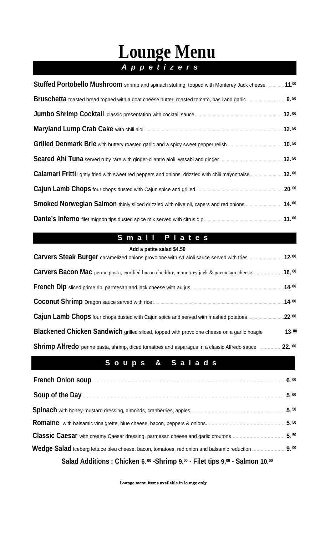# **Lounge Menu** *a A p p e t i z e r s a*

| Stuffed Portobello Mushroom shrimp and spinach stuffing, topped with Monterey Jack cheese  11.00      |  |
|-------------------------------------------------------------------------------------------------------|--|
|                                                                                                       |  |
|                                                                                                       |  |
|                                                                                                       |  |
|                                                                                                       |  |
|                                                                                                       |  |
| Calamari Fritti lightly fried with sweet red peppers and onions, drizzled with chili mayonnaise 12.00 |  |
|                                                                                                       |  |
| Smoked Norwegian Salmon thinly sliced drizzled with olive oil, capers and red onions 14.00            |  |
|                                                                                                       |  |

# **S** m a l l P l a t e s

### **Add a petite salad \$4.50**

|                                                                                                    | 12.00  |
|----------------------------------------------------------------------------------------------------|--------|
| <b>Carvers Bacon Mac</b> penne pasta, candied bacon cheddar, monetary jack & parmesan cheese       | 16.00  |
|                                                                                                    | .14.00 |
|                                                                                                    | 14.00  |
| Cajun Lamb Chops four chops dusted with Cajun spice and served with mashed potatoes                | 22.00  |
| <b>Blackened Chicken Sandwich</b> grilled sliced, topped with provolone cheese on a garlic hoagie  | 13.00  |
| <b>Shrimp Alfredo</b> penne pasta, shrimp, diced tomatoes and asparagus in a classic Alfredo sauce | 22.00  |

# **S o u p s & S a l a d s**

|                                                                                            | 6.00 |
|--------------------------------------------------------------------------------------------|------|
|                                                                                            | 5.00 |
|                                                                                            | 5.50 |
|                                                                                            | 5.50 |
|                                                                                            | 5.50 |
| Wedge Salad Iceberg lettuce bleu cheese. bacon, tomatoes, red onion and balsamic reduction | 9.00 |
| Salad Additions: Chicken 6. 00 - Shrimp 9.00 - Filet tips 9.00 - Salmon 10.00              |      |

Lounge menu items available in lounge only